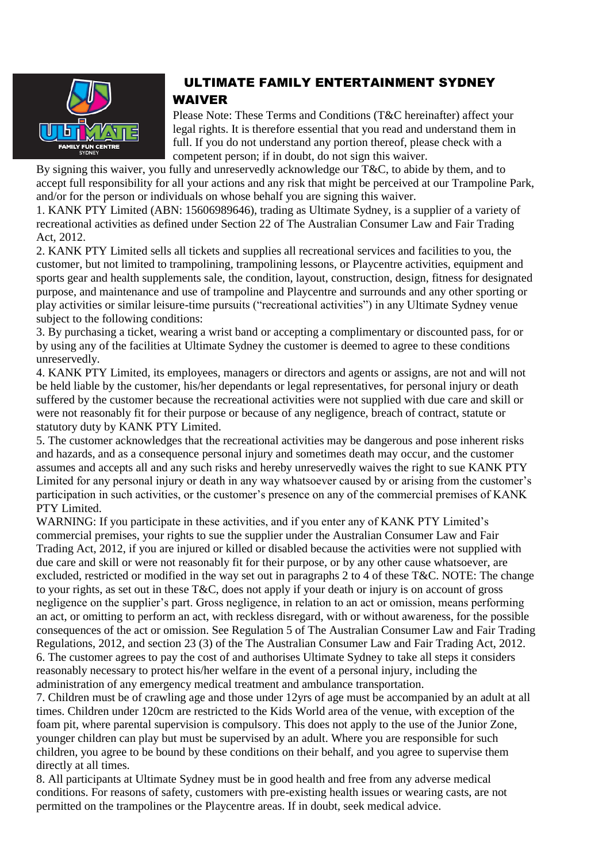

## ULTIMATE FAMILY ENTERTAINMENT SYDNEY WAIVER

Please Note: These Terms and Conditions (T&C hereinafter) affect your legal rights. It is therefore essential that you read and understand them in full. If you do not understand any portion thereof, please check with a competent person; if in doubt, do not sign this waiver.

By signing this waiver, you fully and unreservedly acknowledge our T&C, to abide by them, and to accept full responsibility for all your actions and any risk that might be perceived at our Trampoline Park, and/or for the person or individuals on whose behalf you are signing this waiver.

1. KANK PTY Limited (ABN: 15606989646), trading as Ultimate Sydney, is a supplier of a variety of recreational activities as defined under Section 22 of The Australian Consumer Law and Fair Trading Act, 2012.

2. KANK PTY Limited sells all tickets and supplies all recreational services and facilities to you, the customer, but not limited to trampolining, trampolining lessons, or Playcentre activities, equipment and sports gear and health supplements sale, the condition, layout, construction, design, fitness for designated purpose, and maintenance and use of trampoline and Playcentre and surrounds and any other sporting or play activities or similar leisure-time pursuits ("recreational activities") in any Ultimate Sydney venue subject to the following conditions:

3. By purchasing a ticket, wearing a wrist band or accepting a complimentary or discounted pass, for or by using any of the facilities at Ultimate Sydney the customer is deemed to agree to these conditions unreservedly.

4. KANK PTY Limited, its employees, managers or directors and agents or assigns, are not and will not be held liable by the customer, his/her dependants or legal representatives, for personal injury or death suffered by the customer because the recreational activities were not supplied with due care and skill or were not reasonably fit for their purpose or because of any negligence, breach of contract, statute or statutory duty by KANK PTY Limited.

5. The customer acknowledges that the recreational activities may be dangerous and pose inherent risks and hazards, and as a consequence personal injury and sometimes death may occur, and the customer assumes and accepts all and any such risks and hereby unreservedly waives the right to sue KANK PTY Limited for any personal injury or death in any way whatsoever caused by or arising from the customer's participation in such activities, or the customer's presence on any of the commercial premises of KANK PTY Limited.

WARNING: If you participate in these activities, and if you enter any of KANK PTY Limited's commercial premises, your rights to sue the supplier under the Australian Consumer Law and Fair Trading Act, 2012, if you are injured or killed or disabled because the activities were not supplied with due care and skill or were not reasonably fit for their purpose, or by any other cause whatsoever, are excluded, restricted or modified in the way set out in paragraphs 2 to 4 of these T&C. NOTE: The change to your rights, as set out in these  $T\&C$ , does not apply if your death or injury is on account of gross negligence on the supplier's part. Gross negligence, in relation to an act or omission, means performing an act, or omitting to perform an act, with reckless disregard, with or without awareness, for the possible consequences of the act or omission. See Regulation 5 of The Australian Consumer Law and Fair Trading Regulations, 2012, and section 23 (3) of the The Australian Consumer Law and Fair Trading Act, 2012. 6. The customer agrees to pay the cost of and authorises Ultimate Sydney to take all steps it considers reasonably necessary to protect his/her welfare in the event of a personal injury, including the administration of any emergency medical treatment and ambulance transportation.

7. Children must be of crawling age and those under 12yrs of age must be accompanied by an adult at all times. Children under 120cm are restricted to the Kids World area of the venue, with exception of the foam pit, where parental supervision is compulsory. This does not apply to the use of the Junior Zone, younger children can play but must be supervised by an adult. Where you are responsible for such children, you agree to be bound by these conditions on their behalf, and you agree to supervise them directly at all times.

8. All participants at Ultimate Sydney must be in good health and free from any adverse medical conditions. For reasons of safety, customers with pre-existing health issues or wearing casts, are not permitted on the trampolines or the Playcentre areas. If in doubt, seek medical advice.